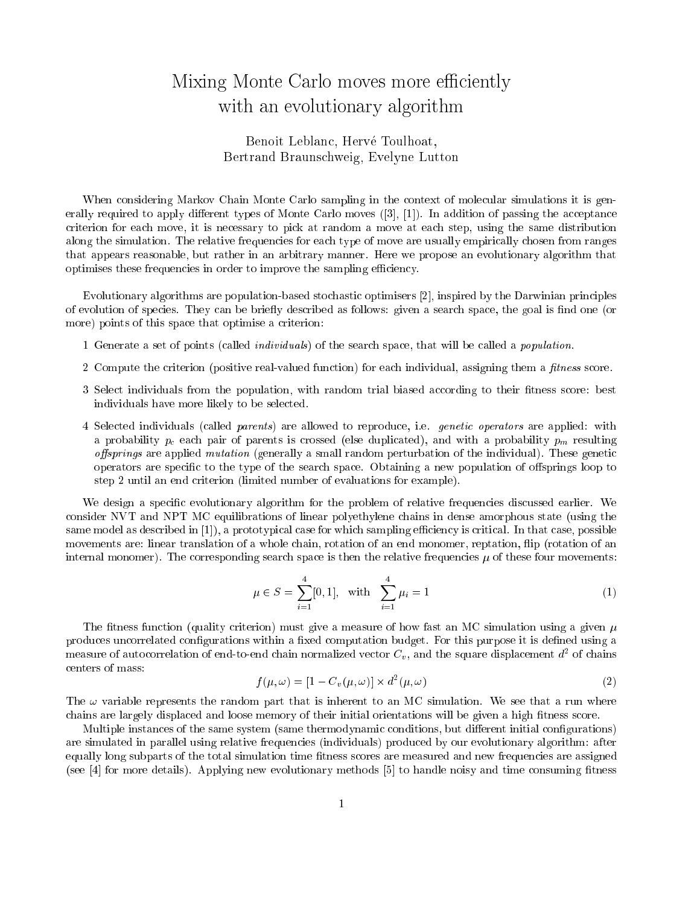## Mixing Monte Carlo moves more eÆ
iently with an evolutionary algorithm and  $\sim$

## , and the Toulous Toulous Toulous Toulous Bertrand Brauns
hweig, Evelyne Lutton

When considering Markov Chain Monte Carlo sampling in the context of molecular simulations it is generally required to apply different types of Monte Carlo moves  $(3, 1]$ . In addition of passing the acceptance riterion for ea
h move, it is ne
essary to pi
k at random a move at ea
h step, using the same distribution along the simulation. The relative frequencies for each type of move are usually empirically chosen from ranges that appears reasonable, but rather in an arbitrary manner. Here we propose an evolutionary algorithm that optimises these frequencies in order to improve the sampling efficiency.

Evolutionary algorithms are population-based stochastic optimisers [2], inspired by the Darwinian principles of evolution of species. They can be briefly described as follows: given a search space, the goal is find one (or more) points of this space that optimise a criterion:

- 1 Generate a set of points (called *individuals*) of the search space, that will be called a *population*.
- 2 Compute the criterion (positive real-valued function) for each individual, assigning them a *fitness* score.
- 3 Select individuals from the population, with random trial biased according to their fitness score: best individuals have more likely to be selected.
- 4 Selected individuals (called parents) are allowed to reproduce, i.e. genetic operators are applied: with a probability  $p_c$  each pair of parents is crossed (else duplicated), and with a probability  $p_m$  resulting *offsprings* are applied *mutation* (generally a small random perturbation of the individual). These genetic operators are specific to the type of the search space. Obtaining a new population of offsprings loop to step 2 until an end criterion (limited number of evaluations for example).

We design a specific evolutionary algorithm for the problem of relative frequencies discussed earlier. We onsider NVT and NPT MC equilibrations of linear polyethylene hains in dense amorphous state (using the same model as described in [1]), a prototypical case for which sampling efficiency is critical. In that case, possible movements are: linear translation of a whole chain, rotation of an end monomer, reptation, flip (rotation of an internal monomer). The corresponding search space is then the relative frequencies  $\mu$  of these four movements:

$$
\mu \in S = \sum_{i=1}^{4} [0, 1], \quad \text{with} \quad \sum_{i=1}^{4} \mu_i = 1 \tag{1}
$$

The fitness function (quality criterion) must give a measure of how fast an MC simulation using a given  $\mu$ produces uncorrelated configurations within a fixed computation budget. For this purpose it is defined using a measure of autocorrelation of end-to-end chain normalized vector  $\mathrm{C}_v,$  and the square displacement  $a^\perp$  of chains enters of mass:

$$
f(\mu,\omega) = [1 - C_v(\mu,\omega)] \times d^2(\mu,\omega)
$$
\n(2)

The  $\omega$  variable represents the random part that is inherent to an MC simulation. We see that a run where chains are largely displaced and loose memory of their initial orientations will be given a high fitness score.

Multiple instances of the same system (same thermodynamic conditions, but different initial configurations) are simulated in parallel using relative frequen
ies (individuals) produ
ed by our evolutionary algorithm: after equally long subparts of the total simulation time fitness scores are measured and new frequencies are assigned (see  $[4]$  for more details). Applying new evolutionary methods  $[5]$  to handle noisy and time consuming fitness